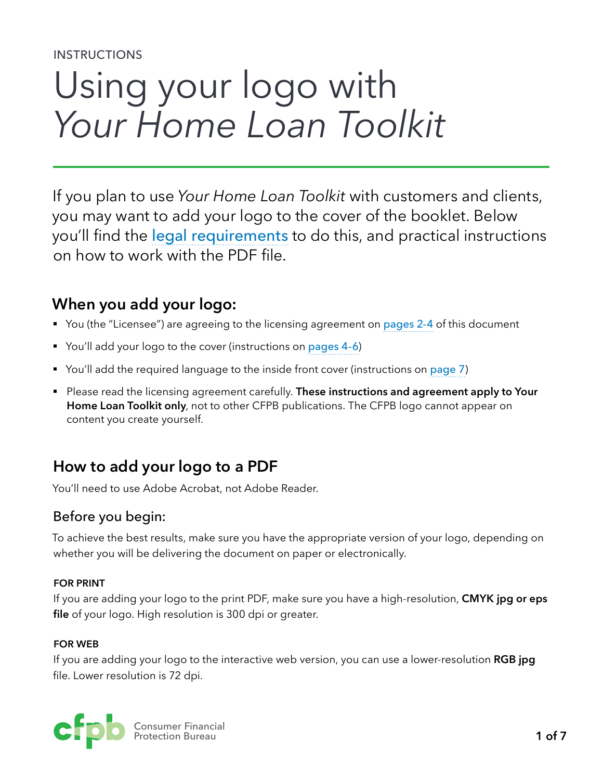#### INSTRUCTIONS

# Using your logo with *Your Home Loan Toolkit*

If you plan to use *Your Home Loan Toolkit* with customers and clients, you may want to add your logo to the cover of the booklet. Below you'll find the [legal requirements](#page-1-0) to do this, and practical instructions on how to work with the PDF file.

# **When you add your logo:**

- You (the "Licensee") are agreeing to the licensing agreement on [pages 2-4](#page-1-0) of this document
- You'll add your logo to the cover (instructions on [pages 4-6](#page-3-0))
- You'll add the required language to the inside front cover (instructions on [page 7](#page-6-0))
- Please read the licensing agreement carefully. **These instructions and agreement apply to Your Home Loan Toolkit only**, not to other CFPB publications. The CFPB logo cannot appear on content you create yourself.

# **How to add your logo to a PDF**

You'll need to use Adobe Acrobat, not Adobe Reader.

# Before you begin:

To achieve the best results, make sure you have the appropriate version of your logo, depending on whether you will be delivering the document on paper or electronically.

#### **FOR PRINT**

If you are adding your logo to the print PDF, make sure you have a high-resolution, **CMYK jpg or eps file** of your logo. High resolution is 300 dpi or greater.

#### **FOR WEB**

If you are adding your logo to the interactive web version, you can use a lower-resolution **RGB jpg** file. Lower resolution is 72 dpi.

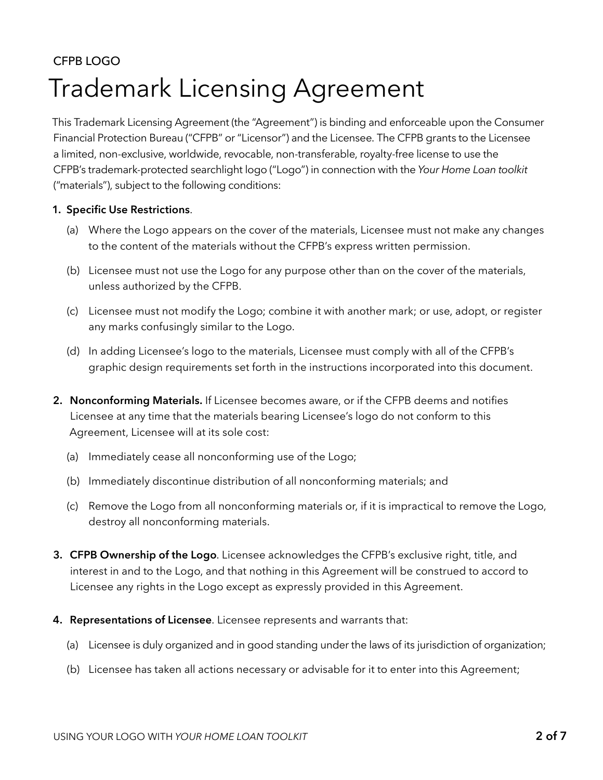# <span id="page-1-0"></span>CFPB LOGO Trademark Licensing Agreement

This Trademark Licensing Agreement (the "Agreement") is binding and enforceable upon the Consumer Financial Protection Bureau ("CFPB" or "Licensor") and the Licensee. The CFPB grants to the Licensee a limited, non-exclusive, worldwide, revocable, non-transferable, royalty-free license to use the CFPB's trademark-protected searchlight logo ("Logo") in connection with the *Your Home Loan toolkit* ("materials"), subject to the following conditions:

#### **1. Specific Use Restrictions**.

- (a) Where the Logo appears on the cover of the materials, Licensee must not make any changes to the content of the materials without the CFPB's express written permission.
- (b) Licensee must not use the Logo for any purpose other than on the cover of the materials, unless authorized by the CFPB.
- (c) Licensee must not modify the Logo; combine it with another mark; or use, adopt, or register any marks confusingly similar to the Logo.
- (d) In adding Licensee's logo to the materials, Licensee must comply with all of the CFPB's graphic design requirements set forth in the instructions incorporated into this document.
- **2. Nonconforming Materials.** If Licensee becomes aware, or if the CFPB deems and notifies Licensee at any time that the materials bearing Licensee's logo do not conform to this Agreement, Licensee will at its sole cost:
	- (a) Immediately cease all nonconforming use of the Logo;
	- (b) Immediately discontinue distribution of all nonconforming materials; and
	- (c) Remove the Logo from all nonconforming materials or, if it is impractical to remove the Logo, destroy all nonconforming materials.
- **3. CFPB Ownership of the Logo**. Licensee acknowledges the CFPB's exclusive right, title, and interest in and to the Logo, and that nothing in this Agreement will be construed to accord to Licensee any rights in the Logo except as expressly provided in this Agreement.
- **4. Representations of Licensee**. Licensee represents and warrants that:
	- (a) Licensee is duly organized and in good standing under the laws of its jurisdiction of organization;
	- (b) Licensee has taken all actions necessary or advisable for it to enter into this Agreement;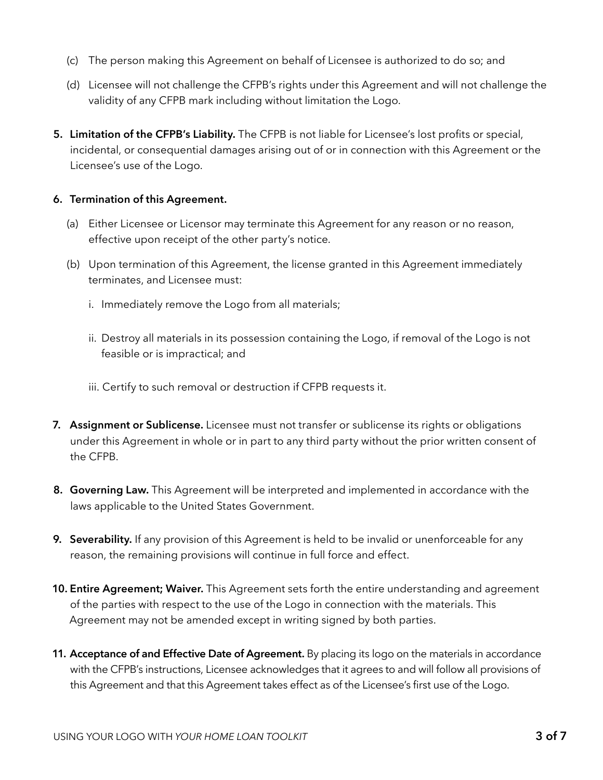- (c) The person making this Agreement on behalf of Licensee is authorized to do so; and
- (d) Licensee will not challenge the CFPB's rights under this Agreement and will not challenge the validity of any CFPB mark including without limitation the Logo.
- **5. Limitation of the CFPB's Liability.** The CFPB is not liable for Licensee's lost profits or special, incidental, or consequential damages arising out of or in connection with this Agreement or the Licensee's use of the Logo.

#### **6. Termination of this Agreement.**

- (a) Either Licensee or Licensor may terminate this Agreement for any reason or no reason, effective upon receipt of the other party's notice.
- (b) Upon termination of this Agreement, the license granted in this Agreement immediately terminates, and Licensee must:
	- i. Immediately remove the Logo from all materials;
	- ii. Destroy all materials in its possession containing the Logo, if removal of the Logo is not feasible or is impractical; and
	- iii. Certify to such removal or destruction if CFPB requests it.
- **7. Assignment or Sublicense.** Licensee must not transfer or sublicense its rights or obligations under this Agreement in whole or in part to any third party without the prior written consent of the CFPB.
- **8. Governing Law.** This Agreement will be interpreted and implemented in accordance with the laws applicable to the United States Government.
- **9. Severability.** If any provision of this Agreement is held to be invalid or unenforceable for any reason, the remaining provisions will continue in full force and effect.
- **10. Entire Agreement; Waiver.** This Agreement sets forth the entire understanding and agreement of the parties with respect to the use of the Logo in connection with the materials. This Agreement may not be amended except in writing signed by both parties.
- **11. Acceptance of and Effective Date of Agreement.** By placing its logo on the materials in accordance with the CFPB's instructions, Licensee acknowledges that it agrees to and will follow all provisions of this Agreement and that this Agreement takes effect as of the Licensee's first use of the Logo.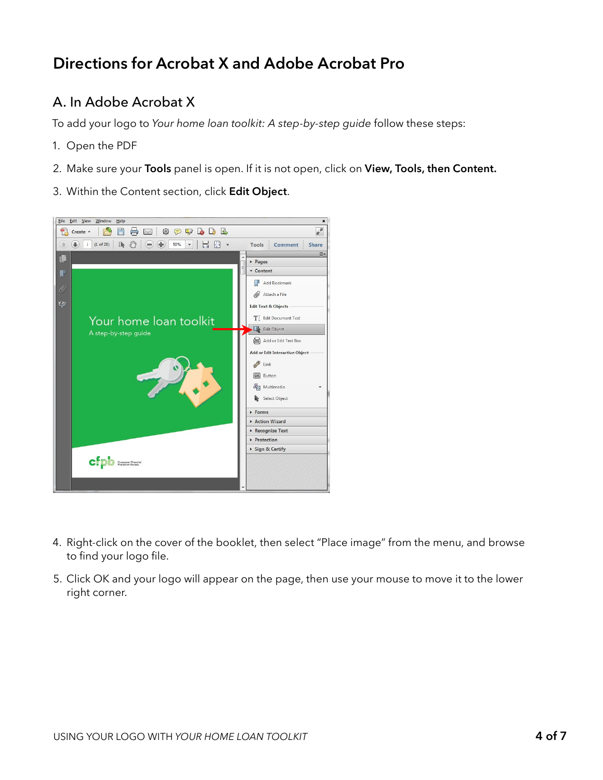# <span id="page-3-0"></span>**Directions for Acrobat X and Adobe Acrobat Pro**

# A. In Adobe Acrobat X

To add your logo to *Your home loan toolkit: A step-by-step guide* follow these steps:

- 1. Open the PDF
- 2. Make sure your **Tools** panel is open. If it is not open, click on **View, Tools, then Content.**
- 3. Within the Content section, click **Edit Object**.



- 4. Right-click on the cover of the booklet, then select "Place image" from the menu, and browse to find your logo file.
- 5. Click OK and your logo will appear on the page, then use your mouse to move it to the lower right corner.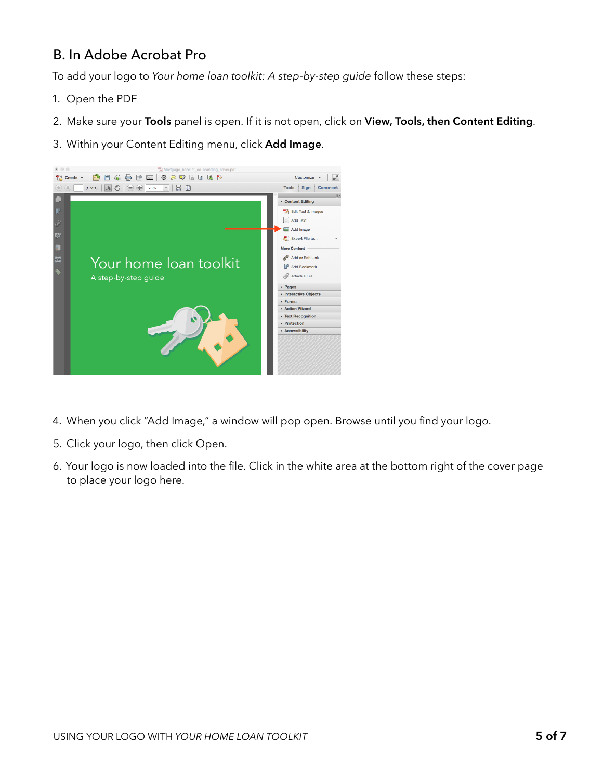# B. In Adobe Acrobat Pro

To add your logo to *Your home loan toolkit: A step-by-step guide* follow these steps:

- 1. Open the PDF
- 2. Make sure your **Tools** panel is open. If it is not open, click on **View, Tools, then Content Editing**.
- 3. Within your Content Editing menu, click **Add Image**.



- 4. When you click "Add Image," a window will pop open. Browse until you find your logo.
- 5. Click your logo, then click Open.
- 6. Your logo is now loaded into the file. Click in the white area at the bottom right of the cover page to place your logo here.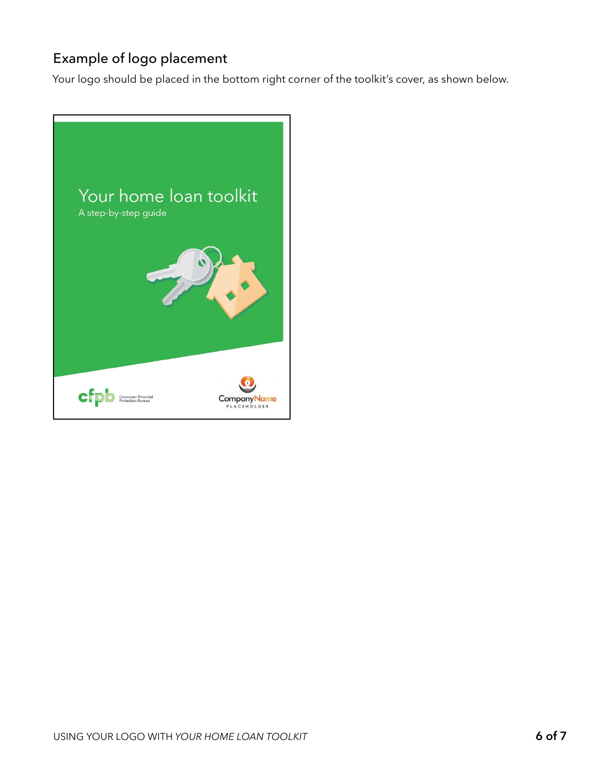# Example of logo placement

Your logo should be placed in the bottom right corner of the toolkit's cover, as shown below.